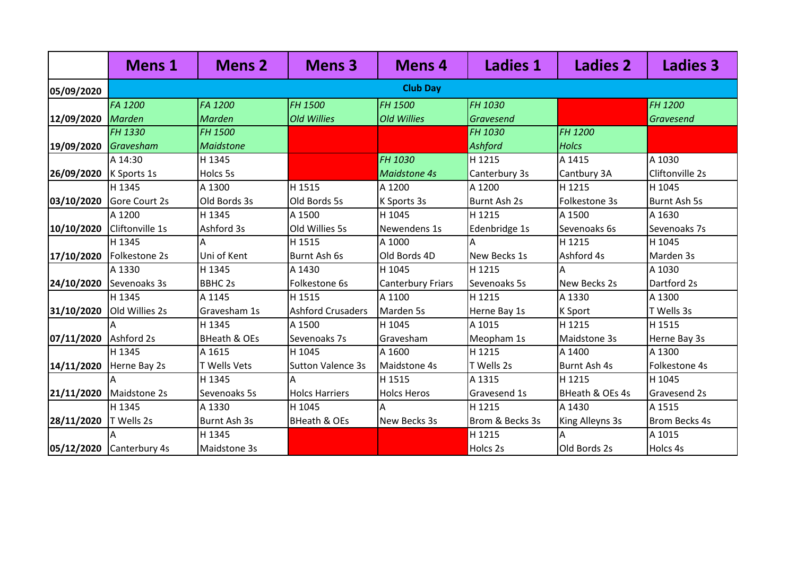|            | <b>Mens 1</b>            | <b>Mens 2</b>           | <b>Mens 3</b>            | <b>Mens 4</b>            | <b>Ladies 1</b> | <b>Ladies 2</b> | <b>Ladies 3</b>      |  |  |  |
|------------|--------------------------|-------------------------|--------------------------|--------------------------|-----------------|-----------------|----------------------|--|--|--|
| 05/09/2020 | <b>Club Day</b>          |                         |                          |                          |                 |                 |                      |  |  |  |
|            | FA 1200                  | FA 1200                 | FH 1500                  | FH 1500                  | FH 1030         |                 | FH 1200              |  |  |  |
| 12/09/2020 | <b>Marden</b>            | <b>Marden</b>           | <b>Old Willies</b>       | <b>Old Willies</b>       | Gravesend       |                 | Gravesend            |  |  |  |
|            | FH 1330                  | FH 1500                 |                          |                          | FH 1030         | FH 1200         |                      |  |  |  |
| 19/09/2020 | Gravesham                | <b>Maidstone</b>        |                          |                          | <b>Ashford</b>  | <b>Holcs</b>    |                      |  |  |  |
|            | A 14:30                  | H 1345                  |                          | FH 1030                  | H 1215          | A 1415          | A 1030               |  |  |  |
| 26/09/2020 | K Sports 1s              | Holcs 5s                |                          | <b>Maidstone 4s</b>      | Canterbury 3s   | Cantbury 3A     | Cliftonville 2s      |  |  |  |
|            | H 1345                   | A 1300                  | H 1515                   | A 1200                   | A 1200          | H 1215          | H 1045               |  |  |  |
| 03/10/2020 | Gore Court 2s            | Old Bords 3s            | Old Bords 5s             | K Sports 3s              | Burnt Ash 2s    | Folkestone 3s   | <b>Burnt Ash 5s</b>  |  |  |  |
|            | A 1200                   | H 1345                  | A 1500                   | H 1045                   | H 1215          | A 1500          | A 1630               |  |  |  |
| 10/10/2020 | Cliftonville 1s          | Ashford 3s              | Old Willies 5s           | Newendens 1s             | Edenbridge 1s   | Sevenoaks 6s    | Sevenoaks 7s         |  |  |  |
|            | H 1345                   | Α                       | H 1515                   | A 1000                   | A               | H 1215          | H 1045               |  |  |  |
| 17/10/2020 | Folkestone 2s            | Uni of Kent             | Burnt Ash 6s             | Old Bords 4D             | New Becks 1s    | Ashford 4s      | Marden 3s            |  |  |  |
|            | A 1330                   | H 1345                  | A 1430                   | H 1045                   | H 1215          | A               | A 1030               |  |  |  |
| 24/10/2020 | Sevenoaks 3s             | <b>BBHC 2s</b>          | Folkestone 6s            | <b>Canterbury Friars</b> | Sevenoaks 5s    | New Becks 2s    | Dartford 2s          |  |  |  |
|            | H 1345                   | A 1145                  | H 1515                   | A 1100                   | H 1215          | A 1330          | A 1300               |  |  |  |
| 31/10/2020 | Old Willies 2s           | Gravesham 1s            | <b>Ashford Crusaders</b> | Marden 5s                | Herne Bay 1s    | K Sport         | T Wells 3s           |  |  |  |
|            |                          | H 1345                  | A 1500                   | H 1045                   | A 1015          | H 1215          | H 1515               |  |  |  |
| 07/11/2020 | Ashford 2s               | <b>BHeath &amp; OEs</b> | Sevenoaks 7s             | Gravesham                | Meopham 1s      | Maidstone 3s    | Herne Bay 3s         |  |  |  |
|            | H 1345                   | A 1615                  | H 1045                   | A 1600                   | H 1215          | A 1400          | A 1300               |  |  |  |
| 14/11/2020 | Herne Bay 2s             | T Wells Vets            | <b>Sutton Valence 3s</b> | Maidstone 4s             | T Wells 2s      | Burnt Ash 4s    | Folkestone 4s        |  |  |  |
|            |                          | H 1345                  | A                        | H 1515                   | A 1315          | H 1215          | H 1045               |  |  |  |
| 21/11/2020 | Maidstone 2s             | Sevenoaks 5s            | <b>Holcs Harriers</b>    | <b>Holcs Heros</b>       | Gravesend 1s    | BHeath & OEs 4s | <b>Gravesend 2s</b>  |  |  |  |
|            | H 1345                   | A 1330                  | H 1045                   | A                        | H 1215          | A 1430          | A 1515               |  |  |  |
| 28/11/2020 | T Wells 2s               | Burnt Ash 3s            | <b>BHeath &amp; OEs</b>  | New Becks 3s             | Brom & Becks 3s | King Alleyns 3s | <b>Brom Becks 4s</b> |  |  |  |
|            |                          | H 1345                  |                          |                          | H 1215          |                 | A 1015               |  |  |  |
|            | 05/12/2020 Canterbury 4s | <b>Maidstone 3s</b>     |                          |                          | Holcs 2s        | Old Bords 2s    | Holcs 4s             |  |  |  |